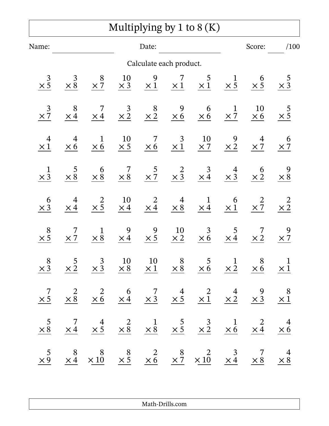## Multiplying by 1 to 8 (K)

| Name:                        |                              |                                 |                         | Date:                    |                              |                                                                                                                                                                                                                                     |                           | Score:               | /100                       |
|------------------------------|------------------------------|---------------------------------|-------------------------|--------------------------|------------------------------|-------------------------------------------------------------------------------------------------------------------------------------------------------------------------------------------------------------------------------------|---------------------------|----------------------|----------------------------|
|                              |                              |                                 |                         | Calculate each product.  |                              |                                                                                                                                                                                                                                     |                           |                      |                            |
| $\frac{3}{\times 5}$         | $\frac{3}{\times 8}$         | 8<br>$\times \overline{7}$      | <b>10</b><br>$\times$ 3 | 9<br>$\times 1$          | $\times$ 1                   | 5<br>$\times 1$                                                                                                                                                                                                                     | $\frac{1}{\times 5}$      | $6 \times 5$         | $\frac{5}{\times 3}$       |
| $\frac{3}{\times 7}$         | 8<br>$\times$ 4              | 7<br>$\times 4$                 | $\frac{3}{\times 2}$    | $\frac{8}{\times 2}$     | 9<br>$\times 6$              | 6<br>$\times 6$                                                                                                                                                                                                                     | $\frac{1}{\times 7}$      | 10<br>$\times 6$     | $rac{5}{\times 5}$         |
| $\overline{4}$<br>$\times 1$ | $\overline{4}$<br>$\times 6$ | $\mathbf{1}$<br>$\times 6$      | 10<br>$\times$ 5        | 7<br>$\times 6$          | $\mathfrak{Z}$<br>$\times 1$ | 10<br>$\times 7$                                                                                                                                                                                                                    | $\frac{9}{\times 2}$      | 4<br>$\times 7$      | 6<br>$\times$ 7            |
| $\frac{1}{\times 3}$         | 5<br>$\times 8$              | $6 \times 8$                    | 7<br>$\times 8$         | $\frac{5}{\times 7}$     | $\times$ 3                   | $\frac{3}{\times 4}$                                                                                                                                                                                                                | $\frac{4}{\times 3}$      | $\frac{6}{\times 2}$ | $\times 8$                 |
| 6<br>$\times$ 3              | 4<br>$\times 4$              | $\times \frac{2}{5}$            | $\frac{10}{\times 4}$   | $\times \frac{2}{4}$     | $\frac{4}{\times 8}$         | $\frac{1}{\times 4}$                                                                                                                                                                                                                | 6<br>$\times 1$           | $\times \frac{2}{7}$ | $\times\frac{2}{2}$        |
| 8<br>$\times 5$              | 7<br>$\times 7$              | $\mathbf 1$<br>$\times \bar{8}$ | 9<br>$\times 4$         | 9<br>$\times 5$          | 10<br>$\times 2$             | 3<br>$\times 6$                                                                                                                                                                                                                     | $\frac{5}{\times 4}$      | $\times 2$           | $\times$ 7                 |
| 8<br>$\times$ 3              | 5<br>$\times 2$              | 3<br>$\times$ 3                 | 10<br>$\times 8$        | <b>10</b><br>$\times\,1$ | 8<br>$\times 8$              | 5<br>$\times 6$                                                                                                                                                                                                                     | $\mathbf 1$<br>$\times 2$ | 8<br>$\times 6$      | $\mathbf 1$<br>$\times\,1$ |
|                              |                              |                                 |                         |                          |                              | $\begin{array}{ccccccccc} & 7 & & 2 & & 2 & & 6 & & 7 & & 4 & & 2 & & 4 & & 9 & & 8 \\ \times 5 & & \times 8 & & \times 6 & & \times 4 & & \times 3 & & \times 5 & & \times 1 & & \times 2 & & \times 3 & & \times 1 \end{array}$   |                           |                      |                            |
|                              |                              |                                 |                         |                          |                              | $\begin{array}{ccccccccc} & 5 & & 7 & & 4 & & 2 & & 1 & & 5 & & 3 & & 1 & & 2 & & 4 \\ \times 8 & & \times 4 & & \times 5 & & \times 8 & & \times 8 & & \times 5 & & \times 2 & & \times 6 & & \times 4 & & \times 6 \end{array}$   |                           |                      |                            |
|                              |                              |                                 |                         |                          |                              | $\begin{array}{ccccccccc} & 5 & & 8 & & 8 & & 8 & & 2 & & 8 & & 2 & & 3 & & 7 & & 4 \\ \times 9 & & \times 4 & & \times 10 & & \times 5 & & \times 6 & & \times 7 & & \times 10 & & \times 4 & & \times 8 & & \times 8 \end{array}$ |                           |                      |                            |

Math-Drills.com